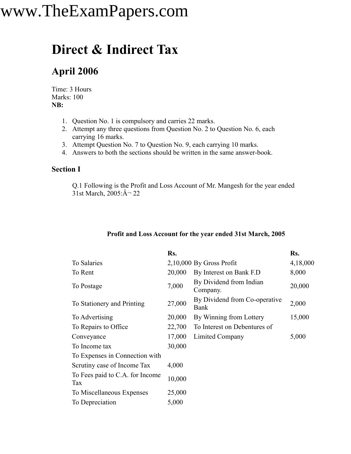### **Direct & Indirect Tax**

#### **April 2006**

Time: 3 Hours Marks: 100 **NB:**

- 1. Question No. 1 is compulsory and carries 22 marks.
- 2. Attempt any three questions from Question No. 2 to Question No. 6, each carrying 16 marks.
- 3. Attempt Question No. 7 to Question No. 9, each carrying 10 marks.
- 4. Answers to both the sections should be written in the same answer-book.

#### **Section I**

Q.1 Following is the Profit and Loss Account of Mr. Mangesh for the year ended 31st March,  $2005$ : $\hat{A}$  – 22

|                                        | Rs.    |                                       | Rs.      |
|----------------------------------------|--------|---------------------------------------|----------|
| To Salaries                            |        | $2,10,000$ By Gross Profit            | 4,18,000 |
| To Rent                                | 20,000 | By Interest on Bank F.D               | 8,000    |
| To Postage                             | 7,000  | By Dividend from Indian<br>Company.   | 20,000   |
| To Stationery and Printing             | 27,000 | By Dividend from Co-operative<br>Bank | 2,000    |
| To Advertising                         | 20,000 | By Winning from Lottery               | 15,000   |
| To Repairs to Office                   | 22,700 | To Interest on Debentures of          |          |
| Conveyance                             | 17,000 | Limited Company                       | 5,000    |
| To Income tax                          | 30,000 |                                       |          |
| To Expenses in Connection with         |        |                                       |          |
| Scrutiny case of Income Tax            | 4,000  |                                       |          |
| To Fees paid to C.A. for Income<br>Tax | 10,000 |                                       |          |
| To Miscellaneous Expenses              | 25,000 |                                       |          |
| To Depreciation                        | 5,000  |                                       |          |
|                                        |        |                                       |          |

#### **Profit and Loss Account for the year ended 31st March, 2005**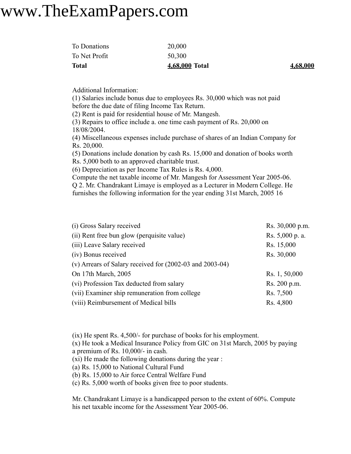| <b>Total</b>  | 4,68,000 Total | 4,68,000 |
|---------------|----------------|----------|
| To Net Profit | 50,300         |          |
| To Donations  | 20,000         |          |

Additional Information:

(1) Salaries include bonus due to employees Rs. 30,000 which was not paid before the due date of filing Income Tax Return.

(2) Rent is paid for residential house of Mr. Mangesh.

(3) Repairs to office include a. one time cash payment of Rs. 20,000 on 18/08/2004.

(4) Miscellaneous expenses include purchase of shares of an Indian Company for Rs. 20,000.

(5) Donations include donation by cash Rs. 15,000 and donation of books worth Rs. 5,000 both to an approved charitable trust.

(6) Depreciation as per Income Tax Rules is Rs. 4,000.

Compute the net taxable income of Mr. Mangesh for Assessment Year 2005-06. Q 2. Mr. Chandrakant Limaye is employed as a Lecturer in Modern College. He furnishes the following information for the year ending 31st March, 2005 16

| (i) Gross Salary received                                    | Rs. 30,000 p.m. |
|--------------------------------------------------------------|-----------------|
| (ii) Rent free bun glow (perquisite value)                   | Rs. 5,000 p. a. |
| (iii) Leave Salary received                                  | Rs. 15,000      |
| (iv) Bonus received                                          | Rs. 30,000      |
| (v) Arrears of Salary received for $(2002-03$ and $2003-04)$ |                 |
| On 17th March, 2005                                          | Rs. 1, 50,000   |
| (vi) Profession Tax deducted from salary                     | Rs. 200 p.m.    |
| (vii) Examiner ship remuneration from college                | Rs. 7,500       |
| (viii) Reimbursement of Medical bills                        | Rs. 4,800       |

(ix) He spent Rs. 4,500/- for purchase of books for his employment.

(x) He took a Medical Insurance Policy from GIC on 31st March, 2005 by paying a premium of Rs. 10,000/- in cash.

(xi) He made the following donations during the year :

(a) Rs. 15,000 to National Cultural Fund

(b) Rs. 15,000 to Air force Central Welfare Fund

(c) Rs. 5,000 worth of books given free to poor students.

Mr. Chandrakant Limaye is a handicapped person to the extent of 60%. Compute his net taxable income for the Assessment Year 2005-06.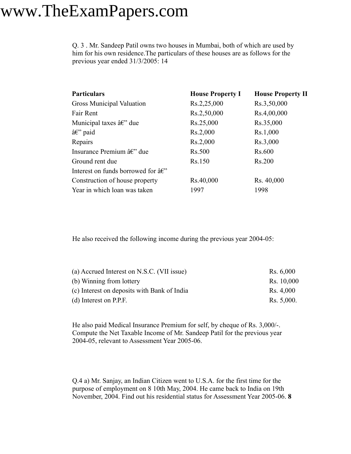Q. 3 . Mr. Sandeep Patil owns two houses in Mumbai, both of which are used by him for his own residence.The particulars of these houses are as follows for the previous year ended 31/3/2005: 14

| Gross Municipal Valuation<br>Rs.2,25,000<br>Rs.3,50,000                 |  |
|-------------------------------------------------------------------------|--|
|                                                                         |  |
| Fair Rent<br>Rs.2,50,000<br>Rs.4,00,000                                 |  |
| Municipal taxes $\hat{a}\hat{\epsilon}$ " due<br>Rs.25,000<br>Rs.35,000 |  |
| Rs.2,000<br>Rs.1,000<br>$\hat{a}\hat{\epsilon}$ " paid                  |  |
| Repairs<br>Rs.2,000<br>Rs.3,000                                         |  |
| Insurance Premium â€" due<br>Rs.500<br>Rs.600                           |  |
| Ground rent due<br>Rs.150<br>Rs.200                                     |  |
| Interest on funds borrowed for $\hat{a}\hat{\epsilon}$ "                |  |
| Rs.40,000<br>Rs. 40,000<br>Construction of house property               |  |
| Year in which loan was taken<br>1997<br>1998                            |  |

He also received the following income during the previous year 2004-05:

| (a) Accrued Interest on N.S.C. (VII issue)  | Rs. 6,000  |
|---------------------------------------------|------------|
| (b) Winning from lottery                    | Rs. 10,000 |
| (c) Interest on deposits with Bank of India | Rs. 4,000  |
| $(d)$ Interest on P.P.F.                    | Rs. 5,000. |

He also paid Medical Insurance Premium for self, by cheque of Rs. 3,000/-. Compute the Net Taxable Income of Mr. Sandeep Patil for the previous year 2004-05, relevant to Assessment Year 2005-06.

Q.4 a) Mr. Sanjay, an Indian Citizen went to U.S.A. for the first time for the purpose of employment on 8 10th May, 2004. He came back to India on 19th November, 2004. Find out his residential status for Assessment Year 2005-06. **8**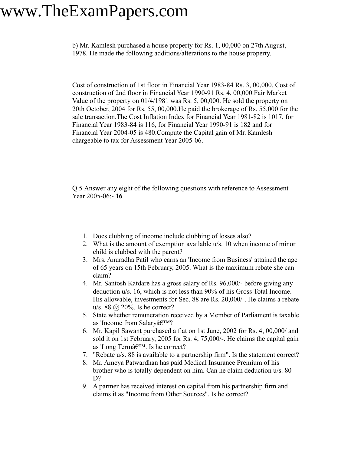b) Mr. Kamlesh purchased a house property for Rs. 1, 00,000 on 27th August, 1978. He made the following additions/alterations to the house property.

Cost of construction of 1st floor in Financial Year 1983-84 Rs. 3, 00,000. Cost of construction of 2nd floor in Financial Year 1990-91 Rs. 4, 00,000.Fair Market Value of the property on 01/4/1981 was Rs. 5, 00,000. He sold the property on 20th October, 2004 for Rs. 55, 00,000.He paid the brokerage of Rs. 55,000 for the sale transaction.The Cost Inflation Index for Financial Year 1981-82 is 1017, for Financial Year 1983-84 is 116, for Financial Year 1990-91 is 182 and for Financial Year 2004-05 is 480.Compute the Capital gain of Mr. Kamlesh chargeable to tax for Assessment Year 2005-06.

Q.5 Answer any eight of the following questions with reference to Assessment Year 2005-06:- **16**

- 1. Does clubbing of income include clubbing of losses also?
- 2. What is the amount of exemption available u/s. 10 when income of minor child is clubbed with the parent?
- 3. Mrs. Anuradha Patil who earns an 'Income from Business' attained the age of 65 years on 15th February, 2005. What is the maximum rebate she can claim?
- 4. Mr. Santosh Katdare has a gross salary of Rs. 96,000/- before giving any deduction u/s. 16, which is not less than 90% of his Gross Total Income. His allowable, investments for Sec. 88 are Rs. 20,000/-. He claims a rebate u/s. 88  $\omega$  20%. Is he correct?
- 5. State whether remuneration received by a Member of Parliament is taxable as 'Income from Salary $\hat{a} \in T^{M}$ ?
- 6. Mr. Kapil Sawant purchased a flat on 1st June, 2002 for Rs. 4, 00,000/ and sold it on 1st February, 2005 for Rs. 4, 75,000/-. He claims the capital gain as 'Long Term'. Is he correct?
- 7. "Rebate u/s. 88 is available to a partnership firm". Is the statement correct?
- 8. Mr. Ameya Patwardhan has paid Medical Insurance Premium of his brother who is totally dependent on him. Can he claim deduction u/s. 80 D?
- 9. A partner has received interest on capital from his partnership firm and claims it as "Income from Other Sources". Is he correct?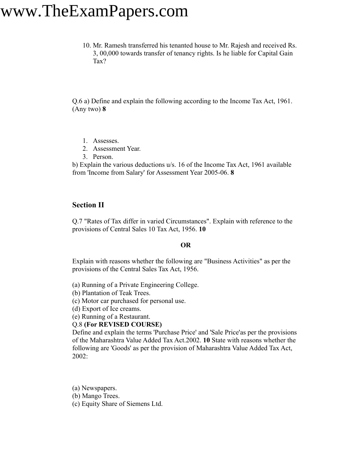10. Mr. Ramesh transferred his tenanted house to Mr. Rajesh and received Rs. 3, 00,000 towards transfer of tenancy rights. Is he liable for Capital Gain Tax?

Q.6 a) Define and explain the following according to the Income Tax Act, 1961. (Any two) **8**

- 1. Assesses.
- 2. Assessment Year.
- 3. Person.

b) Explain the various deductions u/s. 16 of the Income Tax Act, 1961 available from 'Income from Salary' for Assessment Year 2005-06. **8**

#### **Section II**

Q.7 "Rates of Tax differ in varied Circumstances". Explain with reference to the provisions of Central Sales 10 Tax Act, 1956. **10**

#### **OR**

Explain with reasons whether the following are "Business Activities" as per the provisions of the Central Sales Tax Act, 1956.

(a) Running of a Private Engineering College.

(b) Plantation of Teak Trees.

(c) Motor car purchased for personal use.

(d) Export of Ice creams.

(e) Running of a Restaurant.

#### Q.8 **(For REVISED COURSE)**

Define and explain the terms 'Purchase Price' and 'Sale Price'as per the provisions of the Maharashtra Value Added Tax Act.2002. **10** State with reasons whether the following are 'Goods' as per the provision of Maharashtra Value Added Tax Act, 2002:

(a) Newspapers.

(b) Mango Trees.

(c) Equity Share of Siemens Ltd.